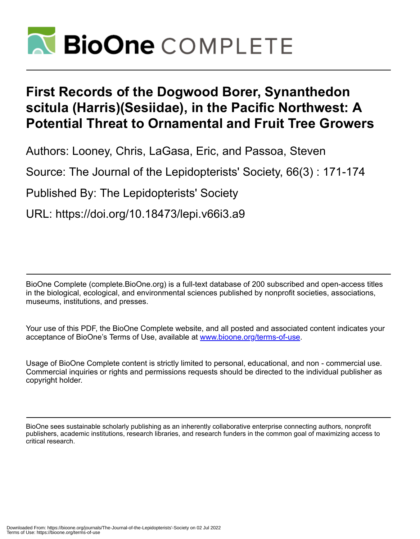

# **First Records of the Dogwood Borer, Synanthedon scitula (Harris)(Sesiidae), in the Pacific Northwest: A Potential Threat to Ornamental and Fruit Tree Growers**

Authors: Looney, Chris, LaGasa, Eric, and Passoa, Steven

Source: The Journal of the Lepidopterists' Society, 66(3) : 171-174

Published By: The Lepidopterists' Society

URL: https://doi.org/10.18473/lepi.v66i3.a9

BioOne Complete (complete.BioOne.org) is a full-text database of 200 subscribed and open-access titles in the biological, ecological, and environmental sciences published by nonprofit societies, associations, museums, institutions, and presses.

Your use of this PDF, the BioOne Complete website, and all posted and associated content indicates your acceptance of BioOne's Terms of Use, available at www.bioone.org/terms-of-use.

Usage of BioOne Complete content is strictly limited to personal, educational, and non - commercial use. Commercial inquiries or rights and permissions requests should be directed to the individual publisher as copyright holder.

BioOne sees sustainable scholarly publishing as an inherently collaborative enterprise connecting authors, nonprofit publishers, academic institutions, research libraries, and research funders in the common goal of maximizing access to critical research.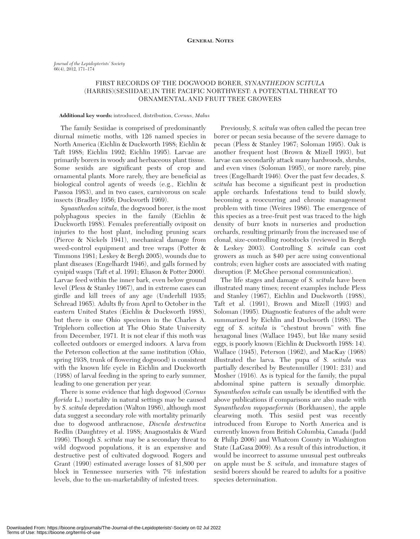## FIRST RECORDS OF THE DOGWOOD BORER, *SYNANTHEDON SCITULA* (HARRIS)(SESIIDAE),IN THE PACIFIC NORTHWEST: A POTENTIAL THREAT TO ORNAMENTAL AND FRUIT TREE GROWERS

### **Additional key words:** introduced, distribution, *Cornus*, *Malus*

The family Sesiidae is comprised of predominantly diurnal mimetic moths, with 126 named species in North America (Eichlin & Duckworth 1988; Eichlin & Taft 1988; Eichlin 1992; Eichlin 1995)*.* Larvae are primarily borers in woody and herbaceous plant tissue*.* Some sesiids are significant pests of crop and ornamental plants*.* More rarely, they are beneficial as biological control agents of weeds (e.g., Eichlin & Passoa 1983), and in two cases, carnivorous on scale insects (Bradley 1956; Duckworth 1969).

*Synanthedon scitula*, the dogwood borer, is the most polyphagous species in the family (Eichlin & Duckworth 1988)*.* Females preferentially oviposit on injuries to the host plant, including pruning scars (Pierce & Nickels 1941), mechanical damage from weed-control equipment and tree wraps (Potter & Timmons 1981; Leskey & Bergh 2005), wounds due to plant diseases (Engelhardt 1946), and galls formed by cynipid wasps (Taft et al. 1991; Eliason & Potter 2000)*.* Larvae feed within the inner bark, even below ground level (Pless & Stanley 1967), and in extreme cases can girdle and kill trees of any age (Underhill 1935; Schread 1965)*.* Adults fly from April to October in the eastern United States (Eichlin & Duckworth 1988), but there is one Ohio specimen in the Charles A. Triplehorn collection at The Ohio State University from December, 1971*.* It is not clear if this moth was collected outdoors or emerged indoors. A larva from the Peterson collection at the same institution (Ohio, spring 1938, trunk of flowering dogwood) is consistent with the known life cycle in Eichlin and Duckworth (1988) of larval feeding in the spring to early summer, leading to one generation per year.

There is some evidence that high dogwood (*Cornus florida* L.) mortality in natural settings may be caused by *S. scitula* depredation (Walton 1986), although most data suggest a secondary role with mortality primarily due to dogwood anthracnose, *Discula destructiva* Redlin (Daughtrey et al. 1988; Anagnostakis & Ward 1996)*.* Though *S. scitula* may be a secondary threat to wild dogwood populations, it is an expensive and destructive pest of cultivated dogwood*.* Rogers and Grant (1990) estimated average losses of \$1,800 per block in Tennessee nurseries with 7% infestation levels, due to the un-marketability of infested trees.

Previously, *S. scitula* was often called the pecan tree borer or pecan sesia because of the severe damage to pecan (Pless & Stanley 1967; Soloman 1995). Oak is another frequent host (Brown & Mizell 1993), but larvae can secondarily attack many hardwoods, shrubs, and even vines (Soloman 1995), or more rarely, pine trees (Engelhardt 1946)*.* Over the past few decades, *S. scitula* has become a significant pest in production apple orchards*.* Infestations tend to build slowly, becoming a reoccurring and chronic management problem with time (Weires 1986)*.* The emergence of this species as a tree-fruit pest was traced to the high density of burr knots in nurseries and production orchards, resulting primarily from the increased use of clonal, size-controlling rootstocks (reviewed in Bergh & Leskey 2003)*.* Controlling *S. scitula* can cost growers as much as \$40 per acre using conventional controls; even higher costs are associated with mating disruption (P. McGhee personal communication).

The life stages and damage of *S. scitula* have been illustrated many times; recent examples include Pless and Stanley (1967), Eichlin and Duckworth (1988), Taft et al. (1991), Brown and Mizell (1993) and Soloman (1995)*.* Diagnostic features of the adult were summarized by Eichlin and Duckworth (1988)*.* The egg of *S. scitula* is "chestnut brown" with fine hexagonal lines (Wallace 1945), but like many sesiid eggs, is poorly known (Eichlin & Duckworth 1988: 14). Wallace (1945), Peterson (1962), and MacKay (1968) illustrated the larva*.* The pupa of *S. scitula* was partially described by Beutenmüller (1901: 231) and Mosher (1916)*.* As is typical for the family, the pupal abdominal spine pattern is sexually dimorphic*. Synanthedon scitula* can usually be identified with the above publications if comparisons are also made with *Synanthedon myopaeformis* (Borkhausen), the apple clearwing moth*.* This sesiid pest was recently introduced from Europe to North America and is currently known from British Columbia, Canada (Judd & Philip 2006) and Whatcom County in Washington State (LaGasa 2009)*.* As a result of this introduction, it would be incorrect to assume unusual pest outbreaks on apple must be *S. scitula*, and immature stages of sesiid borers should be reared to adults for a positive species determination.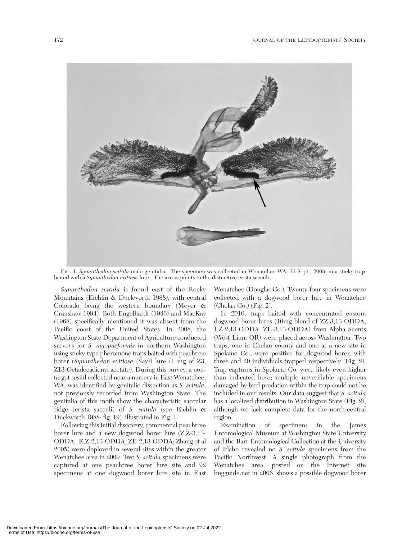

FIG. 1. *Synanthedon scitula* male genitalia. The specimen was collected in Wenatchee WA, 22 Sept., 2008, in a sticky trap baited with a *Synanthedon exitiosa* lure. The arrow points to the distinctive crista sacculi.

*Synanthedon scitula* is found east of the Rocky Mountains (Eichlin & Duckworth 1988), with central Colorado being the western boundary (Meyer & Cranshaw 1994)*.* Both Engelhardt (1946) and MacKay (1968) specifically mentioned it was absent from the Pacific coast of the United States*.* In 2008, the Washington State Department of Agriculture conducted surveys for *S. myopaeformis* in northern Washington using sticky-type pheromone traps baited with peachtree borer (*Synanthedon exitiosa* (Say)) lure (1 mg of Z3, Z13-Octadecadienyl acetate)*.* During this survey, a nontarget sesiid collected near a nursery in East Wenatchee, WA, was identified by genitalic dissection as *S. scitula*, not previously recorded from Washington State*.* The genitalia of this moth show the characteristic saccular ridge (crista sacculi) of *S. scitula* (see Eichlin & Duckworth 1988: fig. 19), illustrated in Fig. 1.

Following this initial discovery, commercial peachtree borer lure and a new dogwood borer lure (Z,Z-3,13- ODDA, E,Z-2,13-ODDA, ZE-2,13-ODDA; Zhang et al 2005) were deployed in several sites within the greater Wenatchee area in 2009*.* Two *S. scitula* specimens were captured at one peachtree borer lure site and 92 specimens at one dogwood borer lure site in East

Wenatchee (Douglas Co.)*.* Twenty-four specimens were collected with a dogwood borer lure in Wenatchee (Chelan Co.) (Fig. 2).

In 2010, traps baited with concentrated custom dogwood borer lures (10mg blend of ZZ-3,13-ODDA, EZ-2,13-ODDA, ZE-3,13-ODDA) from Alpha Scents (West Linn, OR) were placed across Washington*.* Two traps, one in Chelan county and one at a new site in Spokane Co., were positive for dogwood borer, with three and 20 individuals trapped respectively (Fig. 2)*.* Trap captures in Spokane Co. were likely even higher than indicated here; multiple unverifiable specimens damaged by bird predation within the trap could not be included in our results. Our data suggest that *S. scitula* has a localized distribution in Washington State (Fig. 2), although we lack complete data for the north-central region.

Examination of specimens in the James Entomological Museum at Washington State University and the Barr Entomological Collection at the University of Idaho revealed no *S. scitula* specimens from the Pacific Northwest*.* A single photograph from the Wenatchee area, posted on the Internet site bugguide.net in 2006, shows a possible dogwood borer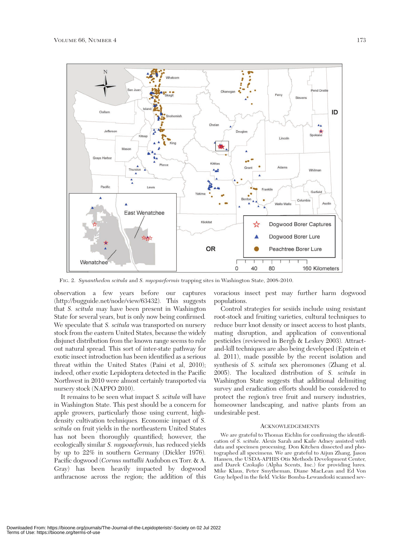

FIG. 2. *Synanthedon scitula* and *S. myopaeformis* trapping sites in Washington State, 2008-2010.

observation a few years before our captures (http://bugguide.net/node/view/63432)*.* This suggests that *S. scitula* may have been present in Washington State for several years, but is only now being confirmed*.* We speculate that *S. scitula* was transported on nursery stock from the eastern United States, because the widely disjunct distribution from the known range seems to rule out natural spread*.* This sort of inter-state pathway for exotic insect introduction has been identified as a serious threat within the United States (Paini et al, 2010); indeed, other exotic Lepidoptera detected in the Pacific Northwest in 2010 were almost certainly transported via nursery stock (NAPPO 2010).

It remains to be seen what impact *S. scitula* will have in Washington State. This pest should be a concern for apple growers, particularly those using current, highdensity cultivation techniques*.* Economic impact of *S. scitula* on fruit yields in the northeastern United States has not been thoroughly quantified; however, the ecologically similar *S. mypoaeformis*, has reduced yields by up to 22% in southern Germany (Dickler 1976)*.* Pacific dogwood (*Cornus nuttallii* Audubon ex Torr. & A. Gray) has been heavily impacted by dogwood anthracnose across the region; the addition of this

voracious insect pest may further harm dogwood populations.

Control strategies for sesiids include using resistant root-stock and fruiting varieties, cultural techniques to reduce burr knot density or insect access to host plants, mating disruption, and application of conventional pesticides (reviewed in Bergh & Leskey 2003)*.* Attractand-kill techniques are also being developed (Epstein et al. 2011), made possible by the recent isolation and synthesis of *S. scitula* sex pheromones (Zhang et al. 2005). The localized distribution of *S. scitula* in Washington State suggests that additional delimiting survey and eradication efforts should be considered to protect the region's tree fruit and nursery industries, homeowner landscaping, and native plants from an undesirable pest.

#### **ACKNOWLEDGEMENTS**

We are grateful to Thomas Eichlin for confirming the identification of *S. scitula*. Alexis Sarah and Kaile Adney assisted with data and specimen processing. Don Kitchen dissected and photographed all specimens*.* We are grateful to Aijun Zhang, Jason Hansen, the USDA-APHIS Otis Methods Development Center, and Darek Czokajlo (Alpha Scents, Inc.) for providing lures*.* Mike Klaus, Peter Smytheman, Diane MacLean and Ed Von Gray helped in the field*.* Vickie Bomba-Lewandoski scanned sev-